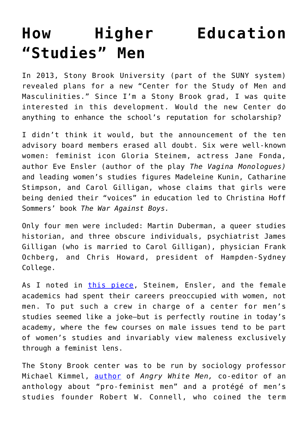## **[How Higher Education](https://intellectualtakeout.org/2017/08/how-higher-education-studies-men/) ["Studies" Men](https://intellectualtakeout.org/2017/08/how-higher-education-studies-men/)**

In 2013, Stony Brook University (part of the SUNY system) revealed plans for a new "Center for the Study of Men and Masculinities." Since I'm a Stony Brook grad, I was quite interested in this development. Would the new Center do anything to enhance the school's reputation for scholarship?

I didn't think it would, but the announcement of the ten advisory board members erased all doubt. Six were well-known women: feminist icon Gloria Steinem, actress Jane Fonda, author Eve Ensler (author of the play *The Vagina Monologues)* and leading women's studies figures Madeleine Kunin, Catharine Stimpson, and Carol Gilligan, whose claims that girls were being denied their "voices" in education led to Christina Hoff Sommers' book *The War Against Boys.*

Only four men were included: Martin Duberman, a queer studies historian, and three obscure individuals, psychiatrist James Gilligan (who is married to Carol Gilligan), physician Frank Ochberg, and Chris Howard, president of Hampden-Sydney College.

As I noted in [this piece,](http://www.frontpagemag.com/fpm/191988/joke-mens-studies-center-bruce-bawer) Steinem, Ensler, and the female academics had spent their careers preoccupied with women, not men. To put such a crew in charge of a center for men's studies seemed like a joke—but is perfectly routine in today's academy, where the few courses on male issues tend to be part of women's studies and invariably view maleness exclusively through a feminist lens.

The Stony Brook center was to be run by sociology professor Michael Kimmel, [author](https://www.amazon.com/angry-white-men-american-masculinity/dp/1568585136) of *Angry White Men,* co-editor of an anthology about "pro-feminist men" and a protégé of men's studies founder Robert W. Connell, who coined the term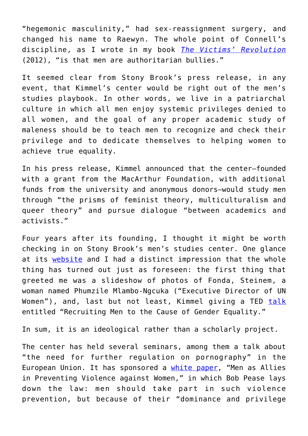"hegemonic masculinity," had sex-reassignment surgery, and changed his name to Raewyn. The whole point of Connell's discipline, as I wrote in my book *[The Victims' Revolution](https://www.amazon.com/victims-revolution-identity-studies-closing-ebook/dp/b007hbgox2/ref=sr_1_1?s=books&ie=utf8&qid=1503606580&sr=1-1&keywords=bruce+bawer)* (2012), "is that men are authoritarian bullies."

It seemed clear from Stony Brook's press release, in any event, that Kimmel's center would be right out of the men's studies playbook. In other words, we live in a patriarchal culture in which all men enjoy systemic privileges denied to all women, and the goal of any proper academic study of maleness should be to teach men to recognize and check their privilege and to dedicate themselves to helping women to achieve true equality.

In his press release, Kimmel announced that the center—founded with a grant from the MacArthur Foundation, with additional funds from the university and anonymous donors—would study men through "the prisms of feminist theory, multiculturalism and queer theory" and pursue dialogue "between academics and activists."

Four years after its founding, I thought it might be worth checking in on Stony Brook's men's studies center. One glance at its [website](http://www.stonybrook.edu/commcms/csmm/) and I had a distinct impression that the whole thing has turned out just as foreseen: the first thing that greeted me was a slideshow of photos of Fonda, Steinem, a woman named Phumzile Mlambo-Ngcuka ("Executive Director of UN Women"), and, last but not least, Kimmel giving a TED [talk](https://www.ted.com/talks/michael_kimmel_why_gender_equality_is_good_for_everyone_men_included/up-next) entitled "Recruiting Men to the Cause of Gender Equality."

In sum, it is an ideological rather than a scholarly project.

The center has held several seminars, among them a talk about "the need for further regulation on pornography" in the European Union. It has sponsored a [white paper](http://www.stonybrook.edu/commcms/csmm/pdf/men%20as%20allies%20white%20paper.pdf), "Men as Allies in Preventing Violence against Women," in which Bob Pease lays down the law: men should take part in such violence prevention, but because of their "dominance and privilege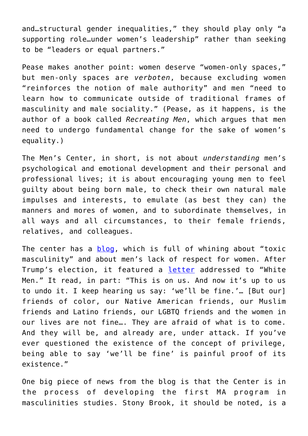and…structural gender inequalities," they should play only "a supporting role…under women's leadership" rather than seeking to be "leaders or equal partners."

Pease makes another point: women deserve "women-only spaces," but men-only spaces are *verboten*, because excluding women "reinforces the notion of male authority" and men "need to learn how to communicate outside of traditional frames of masculinity and male sociality." (Pease, as it happens, is the author of a book called *Recreating Men*, which argues that men need to undergo fundamental change for the sake of women's equality.)

The Men's Center, in short, is not about *understanding* men's psychological and emotional development and their personal and professional lives; it is about encouraging young men to feel guilty about being born male, to check their own natural male impulses and interests, to emulate (as best they can) the manners and mores of women, and to subordinate themselves, in all ways and all circumstances, to their female friends, relatives, and colleagues.

The center has a **[blog](http://www.stonybrook.edu/commcms/csmm/blog.html)**, which is full of whining about "toxic masculinity" and about men's lack of respect for women. After Trump's election, it featured a [letter](https://masculinities101.com/2016/11/18/trumps-america-will-we-be-fine-depends-on-who-is-we-depends-on-what-we-do/) addressed to "White Men." It read, in part: "This is on us. And now it's up to us to undo it. I keep hearing us say: 'we'll be fine.'… [But our] friends of color, our Native American friends, our Muslim friends and Latino friends, our LGBTQ friends and the women in our lives are not fine…. They are afraid of what is to come. And they will be, and already are, under attack. If you've ever questioned the existence of the concept of privilege, being able to say 'we'll be fine' is painful proof of its existence."

One big piece of news from the blog is that the Center is in the process of developing the first MA program in masculinities studies. Stony Brook, it should be noted, is a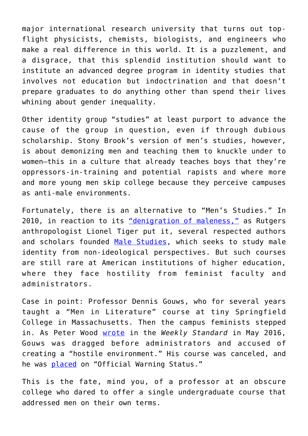major international research university that turns out topflight physicists, chemists, biologists, and engineers who make a real difference in this world. It is a puzzlement, and a disgrace, that this splendid institution should want to institute an advanced degree program in identity studies that involves not education but indoctrination and that doesn't prepare graduates to do anything other than spend their lives whining about gender inequality.

Other identity group "studies" at least purport to advance the cause of the group in question, even if through dubious scholarship. Stony Brook's version of men's studies, however, is about demonizing men and teaching them to knuckle under to women—this in a culture that already teaches boys that they're oppressors-in-training and potential rapists and where more and more young men skip college because they perceive campuses as anti-male environments.

Fortunately, there is an alternative to "Men's Studies." In 2010, in reaction to its ["denigration of maleness,"](http://www.artofmanliness.com/2011/03/24/the-art-of-manliness-podcast-episode-36-the-decline-of-males-with-dr-lionel-tiger/) as Rutgers anthropologist Lionel Tiger put it, several respected authors and scholars founded [Male Studies,](http://www.malestudies.org/pdf/a_case_for_male_studies.pdf) which seeks to study male identity from non-ideological perspectives. But such courses are still rare at American institutions of higher education, where they face hostility from feminist faculty and administrators.

Case in point: Professor Dennis Gouws, who for several years taught a "Men in Literature" course at tiny Springfield College in Massachusetts. Then the campus feminists stepped in. As Peter Wood [wrote](http://www.weeklystandard.com/the-end-of-men-in-literature/article/2002347) in the *Weekly Standard* in May 2016, Gouws was dragged before administrators and accused of creating a "hostile environment." His course was canceled, and he was [placed](http://thefederalist.com/2017/06/08/this-is-how-college-bureaucrats-tyrannize-professor-who-crosses-them/) on "Official Warning Status."

This is the fate, mind you, of a professor at an obscure college who dared to offer a single undergraduate course that addressed men on their own terms.